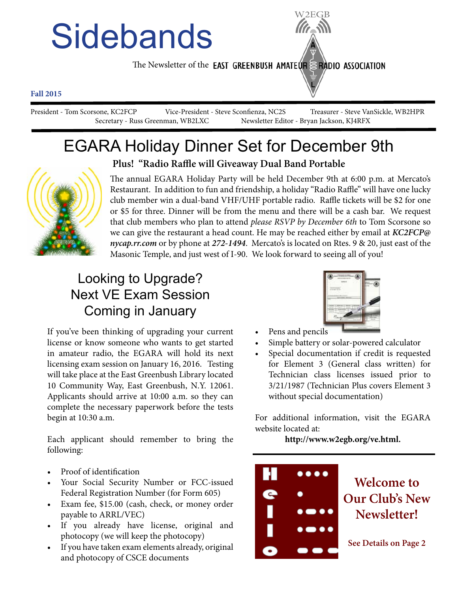# **Sidebands**

The Newsletter of the **EAST GREENBUSH AMATEUR RADIO ASSOCIATION** 

#### **Fall 2015**

President - Tom Scorsone, KC2FCP Vice-President - Steve Sconfienza, NC2S Treasurer - Steve VanSickle, WB2HPR Secretary - Russ Greenman, WB2LXC Newsletter Editor - Bryan Jackson, KJ4RFX

## EGARA Holiday Dinner Set for December 9th



**Plus! "Radio Raffle will Giveaway Dual Band Portable**

The annual EGARA Holiday Party will be held December 9th at 6:00 p.m. at Mercato's Restaurant. In addition to fun and friendship, a holiday "Radio Raffle" will have one lucky club member win a dual-band VHF/UHF portable radio. Raffle tickets will be \$2 for one or \$5 for three. Dinner will be from the menu and there will be a cash bar. We request that club members who plan to attend *please RSVP by December 6th* to Tom Scorsone so we can give the restaurant a head count. He may be reached either by email at *KC2FCP@ nycap.rr.com* or by phone at *272-1494*. Mercato's is located on Rtes. 9 & 20, just east of the Masonic Temple, and just west of I-90. We look forward to seeing all of you!

## Looking to Upgrade? Next VE Exam Session Coming in January

If you've been thinking of upgrading your current license or know someone who wants to get started in amateur radio, the EGARA will hold its next licensing exam session on January 16, 2016. Testing will take place at the East Greenbush Library located 10 Community Way, East Greenbush, N.Y. 12061. Applicants should arrive at 10:00 a.m. so they can complete the necessary paperwork before the tests begin at 10:30 a.m.

Each applicant should remember to bring the following:

- Proof of identification
- Your Social Security Number or FCC-issued Federal Registration Number (for Form 605)
- Exam fee, \$15.00 (cash, check, or money order payable to ARRL/VEC)
- • If you already have license, original and photocopy (we will keep the photocopy)
- If you have taken exam elements already, original and photocopy of CSCE documents



- Pens and pencils
- Simple battery or solar-powered calculator
- Special documentation if credit is requested for Element 3 (General class written) for Technician class licenses issued prior to 3/21/1987 (Technician Plus covers Element 3 without special documentation)

For additional information, visit the EGARA website located at:

**http://www.w2egb.org/ve.html.**

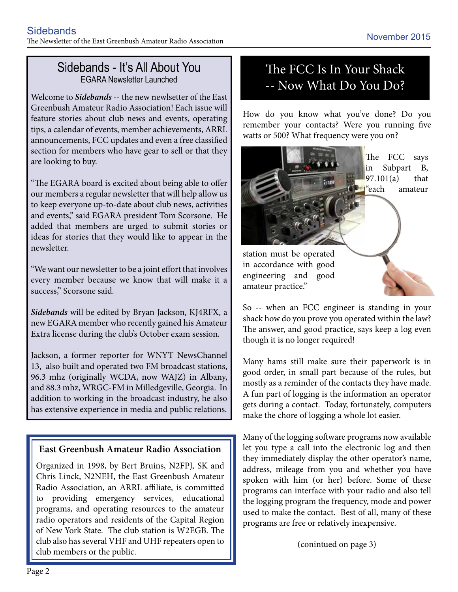#### Sidebands - It's All About You EGARA Newsletter Launched

Welcome to *Sidebands* -- the new newlsetter of the East Greenbush Amateur Radio Association! Each issue will feature stories about club news and events, operating tips, a calendar of events, member achievements, ARRL announcements, FCC updates and even a free classified section for members who have gear to sell or that they are looking to buy.

"The EGARA board is excited about being able to offer our members a regular newsletter that will help allow us to keep everyone up-to-date about club news, activities and events," said EGARA president Tom Scorsone. He added that members are urged to submit stories or ideas for stories that they would like to appear in the newsletter.

"We want our newsletter to be a joint effort that involves every member because we know that will make it a success," Scorsone said.

*Sidebands* will be edited by Bryan Jackson, KJ4RFX, a new EGARA member who recently gained his Amateur Extra license during the club's October exam session.

Jackson, a former reporter for WNYT NewsChannel 13, also built and operated two FM broadcast stations, 96.3 mhz (originally WCDA, now WAJZ) in Albany, and 88.3 mhz, WRGC-FM in Milledgeville, Georgia. In addition to working in the broadcast industry, he also has extensive experience in media and public relations.

#### **East Greenbush Amateur Radio Association**

Organized in 1998, by Bert Bruins, N2FPJ, SK and Chris Linck, N2NEH, the East Greenbush Amateur Radio Association, an ARRL affiliate, is committed to providing emergency services, educational programs, and operating resources to the amateur radio operators and residents of the Capital Region of New York State. The club station is W2EGB. The club also has several VHF and UHF repeaters open to club members or the public.

#### The FCC Is In Your Shack -- Now What Do You Do?

How do you know what you've done? Do you remember your contacts? Were you running five watts or 500? What frequency were you on?



So -- when an FCC engineer is standing in your shack how do you prove you operated within the law? The answer, and good practice, says keep a log even though it is no longer required!

Many hams still make sure their paperwork is in good order, in small part because of the rules, but mostly as a reminder of the contacts they have made. A fun part of logging is the information an operator gets during a contact. Today, fortunately, computers make the chore of logging a whole lot easier.

Many of the logging software programs now available let you type a call into the electronic log and then they immediately display the other operator's name, address, mileage from you and whether you have spoken with him (or her) before. Some of these programs can interface with your radio and also tell the logging program the frequency, mode and power used to make the contact. Best of all, many of these programs are free or relatively inexpensive.

(conintued on page 3)